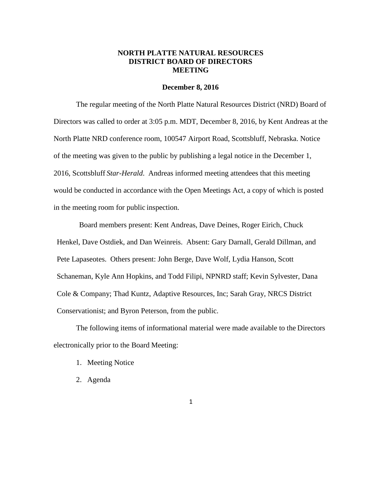## **NORTH PLATTE NATURAL RESOURCES DISTRICT BOARD OF DIRECTORS MEETING**

#### **December 8, 2016**

The regular meeting of the North Platte Natural Resources District (NRD) Board of Directors was called to order at 3:05 p.m. MDT, December 8, 2016, by Kent Andreas at the North Platte NRD conference room, 100547 Airport Road, Scottsbluff, Nebraska. Notice of the meeting was given to the public by publishing a legal notice in the December 1, 2016, Scottsbluff *Star-Herald*. Andreas informed meeting attendees that this meeting would be conducted in accordance with the Open Meetings Act, a copy of which is posted in the meeting room for public inspection.

Board members present: Kent Andreas, Dave Deines, Roger Eirich, Chuck Henkel, Dave Ostdiek, and Dan Weinreis. Absent: Gary Darnall, Gerald Dillman, and Pete Lapaseotes. Others present: John Berge, Dave Wolf, Lydia Hanson, Scott Schaneman, Kyle Ann Hopkins, and Todd Filipi, NPNRD staff; Kevin Sylvester, Dana Cole & Company; Thad Kuntz, Adaptive Resources, Inc; Sarah Gray, NRCS District Conservationist; and Byron Peterson, from the public.

The following items of informational material were made available to the Directors electronically prior to the Board Meeting:

- 1. Meeting Notice
- 2. Agenda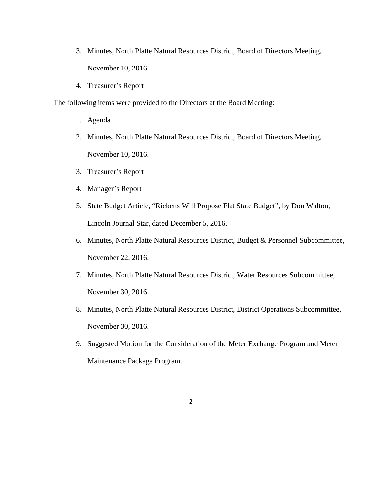- 3. Minutes, North Platte Natural Resources District, Board of Directors Meeting, November 10, 2016.
- 4. Treasurer's Report

The following items were provided to the Directors at the Board Meeting:

- 1. Agenda
- 2. Minutes, North Platte Natural Resources District, Board of Directors Meeting, November 10, 2016.
- 3. Treasurer's Report
- 4. Manager's Report
- 5. State Budget Article, "Ricketts Will Propose Flat State Budget", by Don Walton, Lincoln Journal Star, dated December 5, 2016.
- 6. Minutes, North Platte Natural Resources District, Budget & Personnel Subcommittee, November 22, 2016.
- 7. Minutes, North Platte Natural Resources District, Water Resources Subcommittee, November 30, 2016.
- 8. Minutes, North Platte Natural Resources District, District Operations Subcommittee, November 30, 2016.
- 9. Suggested Motion for the Consideration of the Meter Exchange Program and Meter Maintenance Package Program.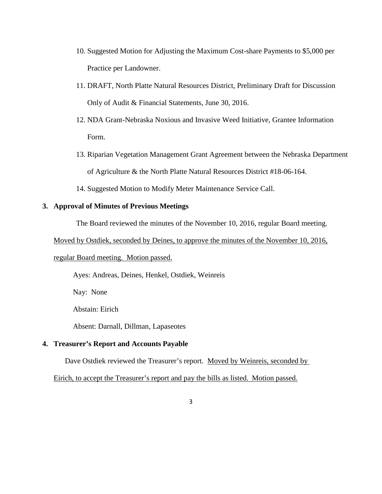- 10. Suggested Motion for Adjusting the Maximum Cost-share Payments to \$5,000 per Practice per Landowner.
- 11. DRAFT, North Platte Natural Resources District, Preliminary Draft for Discussion Only of Audit & Financial Statements, June 30, 2016.
- 12. NDA Grant-Nebraska Noxious and Invasive Weed Initiative, Grantee Information Form.
- 13. Riparian Vegetation Management Grant Agreement between the Nebraska Department of Agriculture & the North Platte Natural Resources District #18-06-164.
- 14. Suggested Motion to Modify Meter Maintenance Service Call.

## **3. Approval of Minutes of Previous Meetings**

The Board reviewed the minutes of the November 10, 2016, regular Board meeting.

Moved by Ostdiek, seconded by Deines, to approve the minutes of the November 10, 2016,

## regular Board meeting. Motion passed.

Ayes: Andreas, Deines, Henkel, Ostdiek, Weinreis

Nay: None

Abstain: Eirich

Absent: Darnall, Dillman, Lapaseotes

## **4. Treasurer's Report and Accounts Payable**

Dave Ostdiek reviewed the Treasurer's report. Moved by Weinreis, seconded by

Eirich, to accept the Treasurer's report and pay the bills as listed. Motion passed.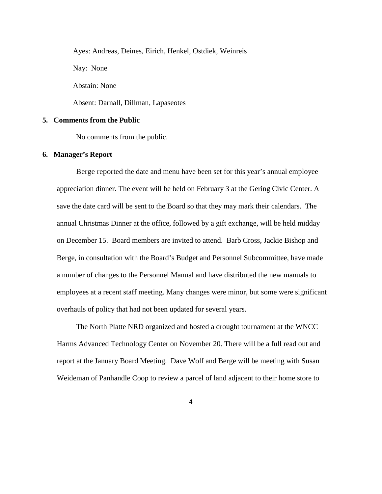Ayes: Andreas, Deines, Eirich, Henkel, Ostdiek, Weinreis

Nay: None

Abstain: None

Absent: Darnall, Dillman, Lapaseotes

### **5. Comments from the Public**

No comments from the public.

#### **6. Manager's Report**

Berge reported the date and menu have been set for this year's annual employee appreciation dinner. The event will be held on February 3 at the Gering Civic Center. A save the date card will be sent to the Board so that they may mark their calendars. The annual Christmas Dinner at the office, followed by a gift exchange, will be held midday on December 15. Board members are invited to attend. Barb Cross, Jackie Bishop and Berge, in consultation with the Board's Budget and Personnel Subcommittee, have made a number of changes to the Personnel Manual and have distributed the new manuals to employees at a recent staff meeting. Many changes were minor, but some were significant overhauls of policy that had not been updated for several years.

The North Platte NRD organized and hosted a drought tournament at the WNCC Harms Advanced Technology Center on November 20. There will be a full read out and report at the January Board Meeting. Dave Wolf and Berge will be meeting with Susan Weideman of Panhandle Coop to review a parcel of land adjacent to their home store to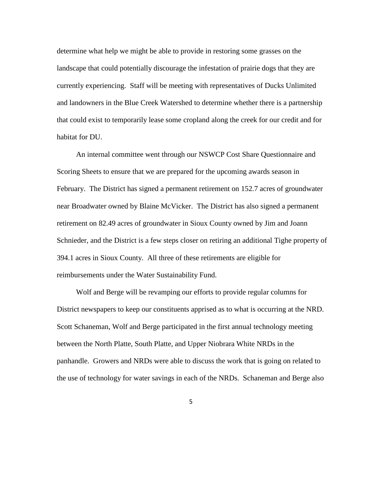determine what help we might be able to provide in restoring some grasses on the landscape that could potentially discourage the infestation of prairie dogs that they are currently experiencing. Staff will be meeting with representatives of Ducks Unlimited and landowners in the Blue Creek Watershed to determine whether there is a partnership that could exist to temporarily lease some cropland along the creek for our credit and for habitat for DU.

An internal committee went through our NSWCP Cost Share Questionnaire and Scoring Sheets to ensure that we are prepared for the upcoming awards season in February. The District has signed a permanent retirement on 152.7 acres of groundwater near Broadwater owned by Blaine McVicker. The District has also signed a permanent retirement on 82.49 acres of groundwater in Sioux County owned by Jim and Joann Schnieder, and the District is a few steps closer on retiring an additional Tighe property of 394.1 acres in Sioux County. All three of these retirements are eligible for reimbursements under the Water Sustainability Fund.

Wolf and Berge will be revamping our efforts to provide regular columns for District newspapers to keep our constituents apprised as to what is occurring at the NRD. Scott Schaneman, Wolf and Berge participated in the first annual technology meeting between the North Platte, South Platte, and Upper Niobrara White NRDs in the panhandle. Growers and NRDs were able to discuss the work that is going on related to the use of technology for water savings in each of the NRDs. Schaneman and Berge also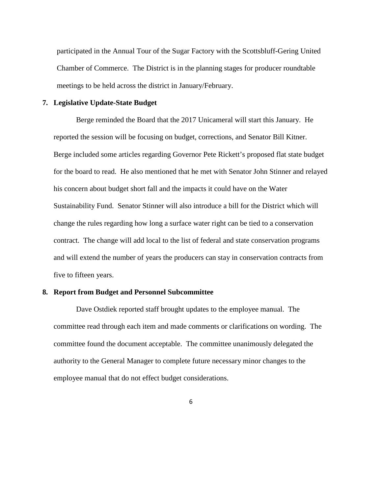participated in the Annual Tour of the Sugar Factory with the Scottsbluff-Gering United Chamber of Commerce. The District is in the planning stages for producer roundtable meetings to be held across the district in January/February.

#### **7. Legislative Update-State Budget**

Berge reminded the Board that the 2017 Unicameral will start this January. He reported the session will be focusing on budget, corrections, and Senator Bill Kitner. Berge included some articles regarding Governor Pete Rickett's proposed flat state budget for the board to read. He also mentioned that he met with Senator John Stinner and relayed his concern about budget short fall and the impacts it could have on the Water Sustainability Fund. Senator Stinner will also introduce a bill for the District which will change the rules regarding how long a surface water right can be tied to a conservation contract. The change will add local to the list of federal and state conservation programs and will extend the number of years the producers can stay in conservation contracts from five to fifteen years.

## **8. Report from Budget and Personnel Subcommittee**

Dave Ostdiek reported staff brought updates to the employee manual. The committee read through each item and made comments or clarifications on wording. The committee found the document acceptable. The committee unanimously delegated the authority to the General Manager to complete future necessary minor changes to the employee manual that do not effect budget considerations.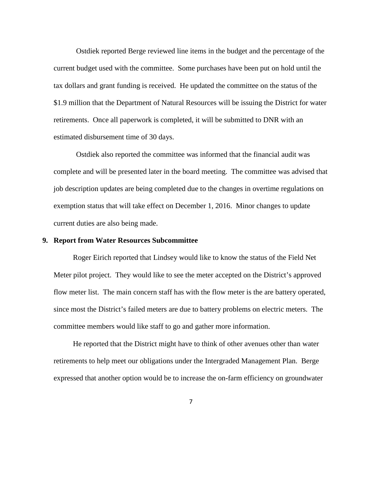Ostdiek reported Berge reviewed line items in the budget and the percentage of the current budget used with the committee. Some purchases have been put on hold until the tax dollars and grant funding is received. He updated the committee on the status of the \$1.9 million that the Department of Natural Resources will be issuing the District for water retirements. Once all paperwork is completed, it will be submitted to DNR with an estimated disbursement time of 30 days.

Ostdiek also reported the committee was informed that the financial audit was complete and will be presented later in the board meeting. The committee was advised that job description updates are being completed due to the changes in overtime regulations on exemption status that will take effect on December 1, 2016. Minor changes to update current duties are also being made.

#### **9. Report from Water Resources Subcommittee**

Roger Eirich reported that Lindsey would like to know the status of the Field Net Meter pilot project. They would like to see the meter accepted on the District's approved flow meter list. The main concern staff has with the flow meter is the are battery operated, since most the District's failed meters are due to battery problems on electric meters. The committee members would like staff to go and gather more information.

He reported that the District might have to think of other avenues other than water retirements to help meet our obligations under the Intergraded Management Plan. Berge expressed that another option would be to increase the on-farm efficiency on groundwater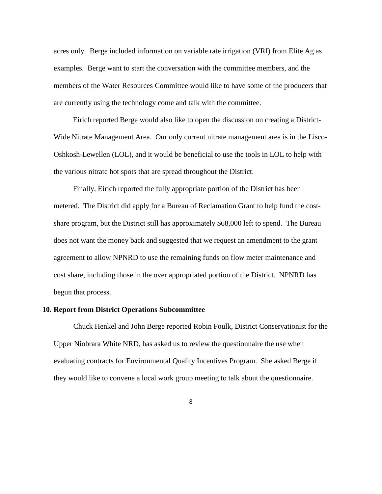acres only. Berge included information on variable rate irrigation (VRI) from Elite Ag as examples. Berge want to start the conversation with the committee members, and the members of the Water Resources Committee would like to have some of the producers that are currently using the technology come and talk with the committee.

Eirich reported Berge would also like to open the discussion on creating a District-Wide Nitrate Management Area. Our only current nitrate management area is in the Lisco-Oshkosh-Lewellen (LOL), and it would be beneficial to use the tools in LOL to help with the various nitrate hot spots that are spread throughout the District.

Finally, Eirich reported the fully appropriate portion of the District has been metered. The District did apply for a Bureau of Reclamation Grant to help fund the costshare program, but the District still has approximately \$68,000 left to spend. The Bureau does not want the money back and suggested that we request an amendment to the grant agreement to allow NPNRD to use the remaining funds on flow meter maintenance and cost share, including those in the over appropriated portion of the District. NPNRD has begun that process.

#### **10. Report from District Operations Subcommittee**

Chuck Henkel and John Berge reported Robin Foulk, District Conservationist for the Upper Niobrara White NRD, has asked us to review the questionnaire the use when evaluating contracts for Environmental Quality Incentives Program. She asked Berge if they would like to convene a local work group meeting to talk about the questionnaire.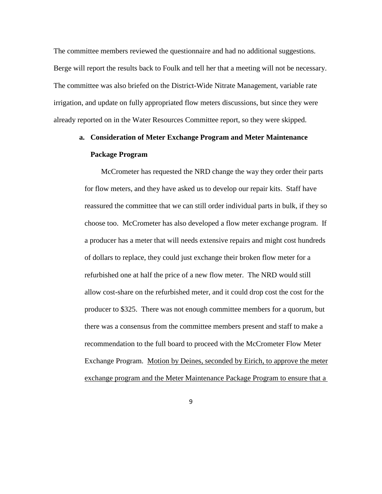The committee members reviewed the questionnaire and had no additional suggestions. Berge will report the results back to Foulk and tell her that a meeting will not be necessary. The committee was also briefed on the District-Wide Nitrate Management, variable rate irrigation, and update on fully appropriated flow meters discussions, but since they were already reported on in the Water Resources Committee report, so they were skipped.

## **a. Consideration of Meter Exchange Program and Meter Maintenance Package Program**

McCrometer has requested the NRD change the way they order their parts for flow meters, and they have asked us to develop our repair kits. Staff have reassured the committee that we can still order individual parts in bulk, if they so choose too. McCrometer has also developed a flow meter exchange program. If a producer has a meter that will needs extensive repairs and might cost hundreds of dollars to replace, they could just exchange their broken flow meter for a refurbished one at half the price of a new flow meter. The NRD would still allow cost-share on the refurbished meter, and it could drop cost the cost for the producer to \$325. There was not enough committee members for a quorum, but there was a consensus from the committee members present and staff to make a recommendation to the full board to proceed with the McCrometer Flow Meter Exchange Program. Motion by Deines, seconded by Eirich, to approve the meter exchange program and the Meter Maintenance Package Program to ensure that a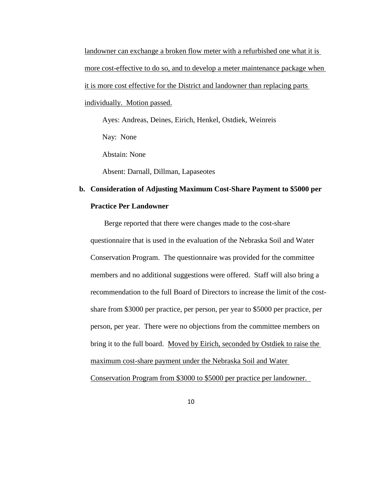landowner can exchange a broken flow meter with a refurbished one what it is more cost-effective to do so, and to develop a meter maintenance package when it is more cost effective for the District and landowner than replacing parts individually. Motion passed.

 Ayes: Andreas, Deines, Eirich, Henkel, Ostdiek, Weinreis Nay: None

Abstain: None

Absent: Darnall, Dillman, Lapaseotes

# **b. Consideration of Adjusting Maximum Cost-Share Payment to \$5000 per Practice Per Landowner**

 Berge reported that there were changes made to the cost-share questionnaire that is used in the evaluation of the Nebraska Soil and Water Conservation Program. The questionnaire was provided for the committee members and no additional suggestions were offered. Staff will also bring a recommendation to the full Board of Directors to increase the limit of the costshare from \$3000 per practice, per person, per year to \$5000 per practice, per person, per year. There were no objections from the committee members on bring it to the full board. Moved by Eirich, seconded by Ostdiek to raise the maximum cost-share payment under the Nebraska Soil and Water

Conservation Program from \$3000 to \$5000 per practice per landowner.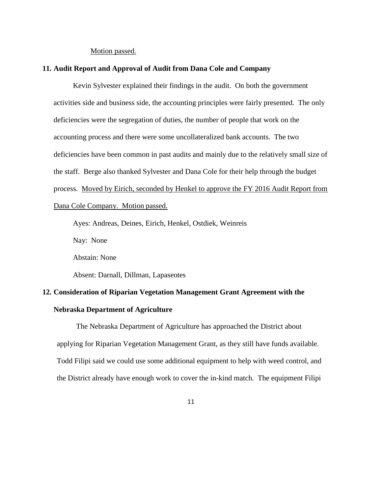#### Motion passed.

### **11. Audit Report and Approval of Audit from Dana Cole and Company**

Kevin Sylvester explained their findings in the audit. On both the government activities side and business side, the accounting principles were fairly presented. The only deficiencies were the segregation of duties, the number of people that work on the accounting process and there were some uncollateralized bank accounts. The two deficiencies have been common in past audits and mainly due to the relatively small size of the staff. Berge also thanked Sylvester and Dana Cole for their help through the budget process. Moved by Eirich, seconded by Henkel to approve the FY 2016 Audit Report from Dana Cole Company. Motion passed.

Ayes: Andreas, Deines, Eirich, Henkel, Ostdiek, Weinreis

Nay: None

Abstain: None

Absent: Darnall, Dillman, Lapaseotes

## **12. Consideration of Riparian Vegetation Management Grant Agreement with the**

### **Nebraska Department of Agriculture**

The Nebraska Department of Agriculture has approached the District about applying for Riparian Vegetation Management Grant, as they still have funds available. Todd Filipi said we could use some additional equipment to help with weed control, and the District already have enough work to cover the in-kind match. The equipment Filipi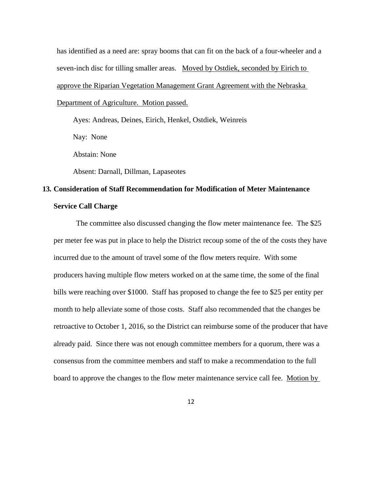has identified as a need are: spray booms that can fit on the back of a four-wheeler and a seven-inch disc for tilling smaller areas. Moved by Ostdiek, seconded by Eirich to approve the Riparian Vegetation Management Grant Agreement with the Nebraska Department of Agriculture. Motion passed.

Ayes: Andreas, Deines, Eirich, Henkel, Ostdiek, Weinreis

Nay: None

Abstain: None

Absent: Darnall, Dillman, Lapaseotes

# **13. Consideration of Staff Recommendation for Modification of Meter Maintenance Service Call Charge**

The committee also discussed changing the flow meter maintenance fee. The \$25 per meter fee was put in place to help the District recoup some of the of the costs they have incurred due to the amount of travel some of the flow meters require. With some producers having multiple flow meters worked on at the same time, the some of the final bills were reaching over \$1000. Staff has proposed to change the fee to \$25 per entity per month to help alleviate some of those costs. Staff also recommended that the changes be retroactive to October 1, 2016, so the District can reimburse some of the producer that have already paid. Since there was not enough committee members for a quorum, there was a consensus from the committee members and staff to make a recommendation to the full board to approve the changes to the flow meter maintenance service call fee. Motion by